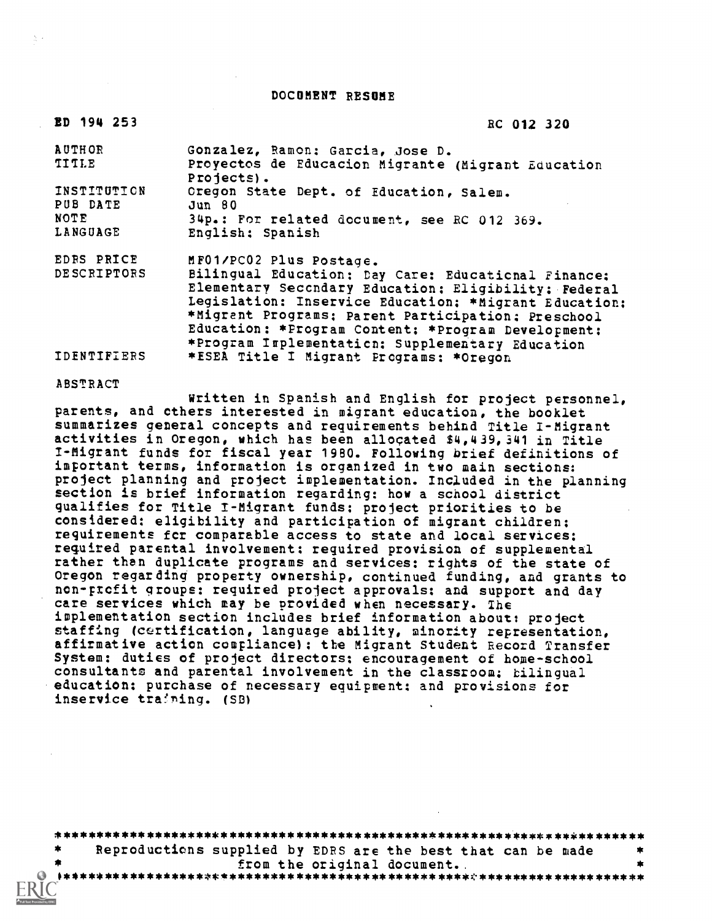DOCUMENT RESUME

| ED 194 253              | RC 012 320                                                                                                                                                                                                                                                                                                                           |
|-------------------------|--------------------------------------------------------------------------------------------------------------------------------------------------------------------------------------------------------------------------------------------------------------------------------------------------------------------------------------|
| <b>AUTHOR</b>           | Gonzalez, Ramon: Garcia, Jose D.                                                                                                                                                                                                                                                                                                     |
| <b>TITLE</b>            | Proyectos de Educacion Migrante (Migrant Education<br>Projects).                                                                                                                                                                                                                                                                     |
| INSTITUTION<br>PUB DATE | Oregon State Dept. of Education, Salem.<br>Jun 80                                                                                                                                                                                                                                                                                    |
| NOTE                    | 34p.: For related document, see RC 012 369.                                                                                                                                                                                                                                                                                          |
| LANGUAGE                | English: Spanish                                                                                                                                                                                                                                                                                                                     |
| EDRS PRICE              | MF01/PC02 Plus Postage.                                                                                                                                                                                                                                                                                                              |
| <b>DESCRIPTORS</b>      | Bilingual Education; Day Care: Educational Finance;<br>Elementary Secondary Education: Eligibility; Federal<br>Legislation: Inservice Education: *Migrant Education:<br>*Migrant Programs: Parent Participation: Preschool<br>Education: *Program Content: *Program Development:<br>*Program Implementation: Supplementary Education |
| <b>IDENTIFIERS</b>      | *ESEA Title I Migrant Programs: *Oregon                                                                                                                                                                                                                                                                                              |

ABSTRACT

Written in Spanish and English for project personnel, parents, and cthers interested in migrant education, the booklet summarizes general concepts and requirements behind Title 1-Migrant activities in Oregon, which has been allocated \$4,439,341 in Title I-Migrant funds for fiscal year 1980. Following brief definitions of important terms, information is organized in two main sections: project planning and project implementation. Included in the planning section is brief information regarding: how a school district qualifies for Title I-Migrant funds: project priorities to be considered: eligibility and participation of migrant children: requirements fcr comparable access to state and local services: required parental involvement: required provision of supplemental rather than duplicate programs and services: rights of the state of Oregon regarding property ownership, continued funding, and grants to non-profit groups: required project approvals: and support and day care services which may be provided when necessary. The implementation section includes brief information about: project staffing (certification, language ability, minority representation, affirmative action compliance): the Migrant Student Record Transfer System: duties of project directors: encouragement of home-school consultants and parental involvement in the classroom: bilingual education: purchase of necessary equipment: and provisions for inservice training. (SB)

| *         | Reproductions supplied by EDRS are the best that can be made |  |
|-----------|--------------------------------------------------------------|--|
|           | from the original document.                                  |  |
| $\bullet$ |                                                              |  |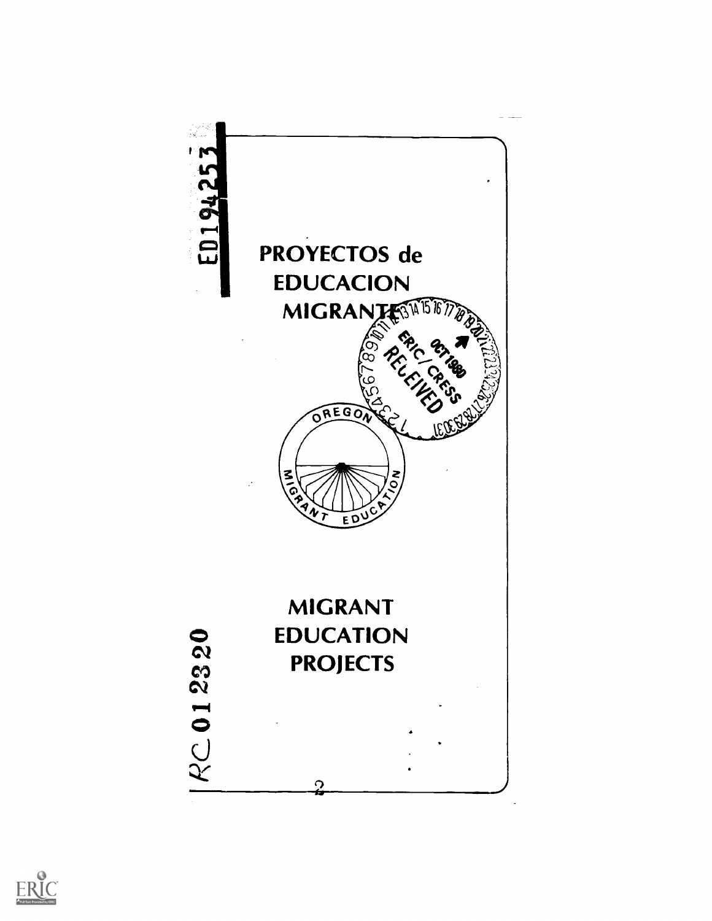

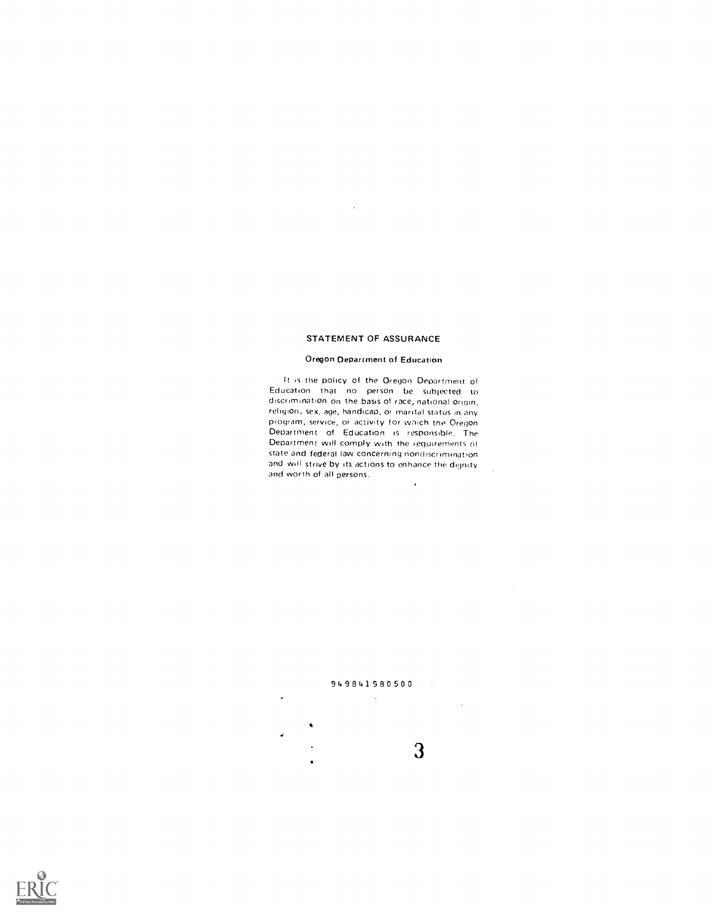#### STATEMENT OF ASSURANCE

 $\lambda$ 

#### Oregon Department of Education

It is the policy of the Oregon Department of Education that no person be subjected to discrimination on the basis of race, national Origin, religion, sex, age, handicap, or marital status in any program, service, or activity for wnich the Oregon Department of Education is responsible. The Department will comply with the requirements of state and federal law concerning nondiscrimination and will strive by its actions to enhance the dignity and worth of all persons.  $\mathcal{A}$ 





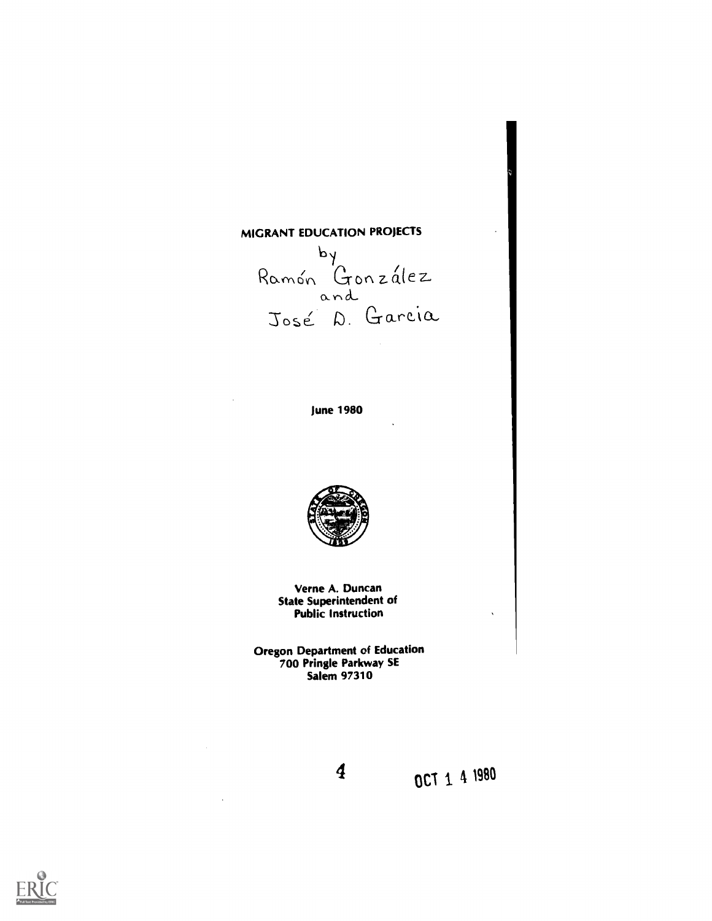# MIGRANT EDUCATION PROJECTS

 $\mathcal{F}_{\alpha}$  ( Ramón González 1 and and José D. Garcia

June 1980



Verne A. Duncan State Superintendent of Public Instruction

Oregon Department of Education 700 Pringle Parkway SE Salem 97310



4 OCT 1 4 1990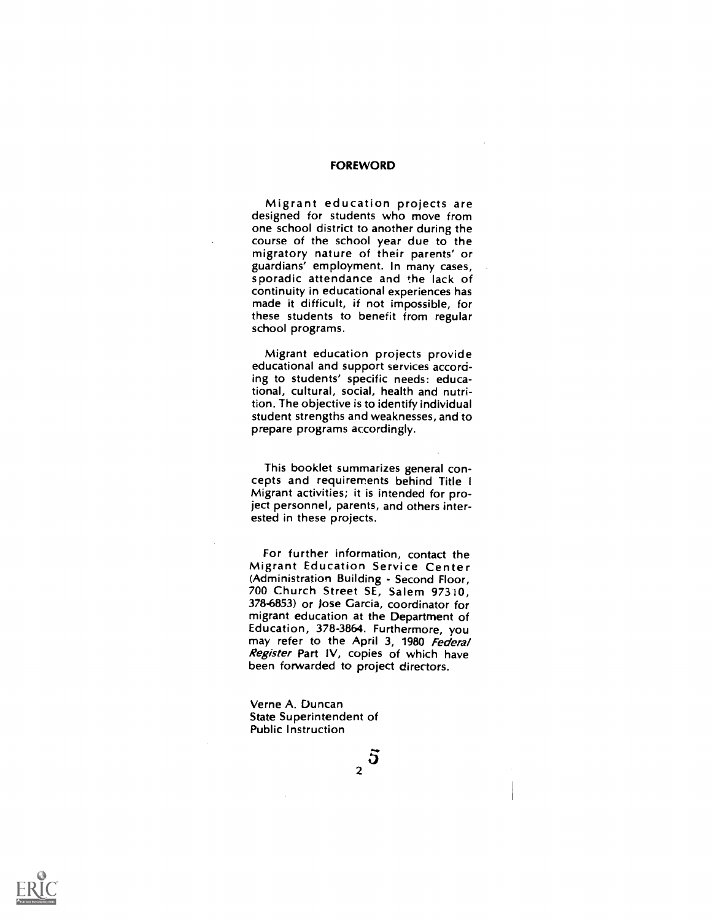#### FOREWORD

Migrant education projects are designed for students who move from one school district to another during the course of the school year due to the migratory nature of their parents' or guardians' employment. In many cases, sporadic attendance and the lack of continuity in educational experiences has made it difficult, if not impossible, for these students to benefit from regular school programs.

Migrant education projects provide educational and support services according to students' specific needs: educational, cultural, social, health and nutrition. The objective is to identify individual student strengths and weaknesses, and to prepare programs accordingly.

This booklet summarizes general concepts and requirements behind Title <sup>I</sup> Migrant activities; it is intended for project personnel, parents, and others interested in these projects.

For further information, contact the Migrant Education Service Center (Administration Building - Second Floor, 700 Church Street SE, Salem 97310, 378-6853) or )ose Garcia, coordinator for migrant education at the Department of<br>Education, 378-3864. Furthermore, you may refer to the April 3, 1980 Federal Register Part IV, copies of which have been forwarded to project directors.

Verne A. Duncan State Superintendent of Public Instruction

 $\frac{5}{2}$ 

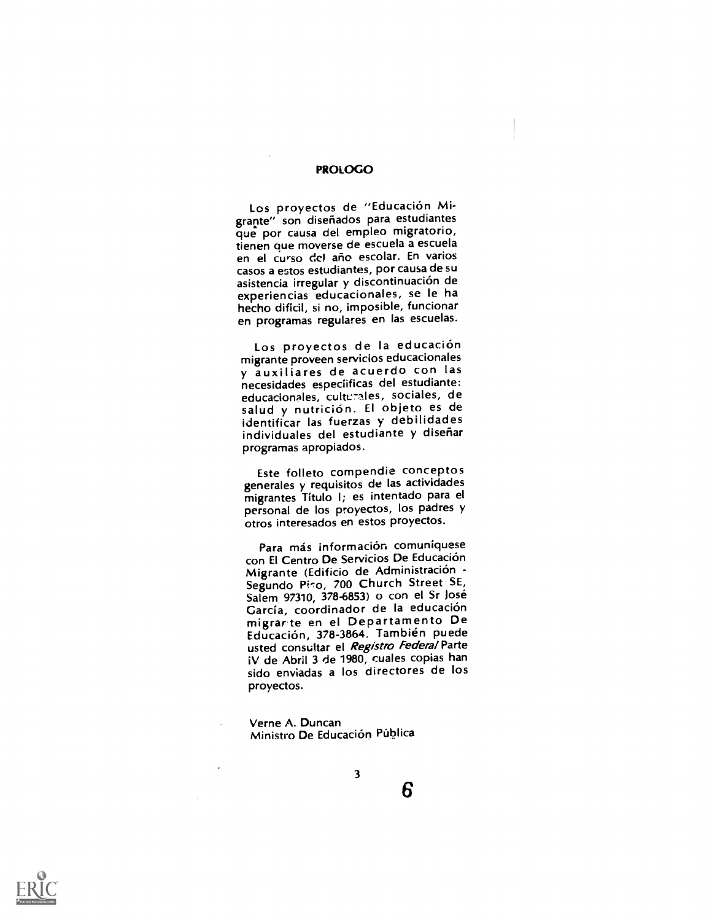#### PROLOGO

Los proyectos de "Educación Migrante" son diseriados para estudiantes que por causa del empleo migratorio, tienen que moverse de escuela a escuela en el curso del ano escolar. En varios casos a estos estudiantes, por causa de su experiencias educacionales, se le ha hecho dificil, si no, imposible, funcionar en programas regulares en las escuelas.

Los proyectos de la educación<br>migrante proveen servicios educacionales y auxiliares de acuerdo con las necesidades especiificas del estudiante: educacionales, culturales, sociales, de salud y nutrición. El objeto es de identificar las fuerzas y debilidades individuales del estudiante y diseñar programas apropiados.

Este folleto compendie conceptos generales y requisitos de las actividades migrantes Titulo I; es intentado para el personal de los proyectos, los padres y otros interesados en estos proyectos.

Para más información comuniquese con El Centro De Servicios De Educacion Migrante (Edificio de Administración -Segundo Pino, 700 Church Street SE, Salem 97310, 378-6853) o con el Sr Jose García, coordinador de la educación<br>migrarite en el Departamento De Educación, 378-3864. También puede usted consultar el Registro Federal Parte iV de Abril 3 de 1980, cuales copias han sido enviadas a los directores de los proyectos.

Verne A. Duncan Ministro De Educación Pública

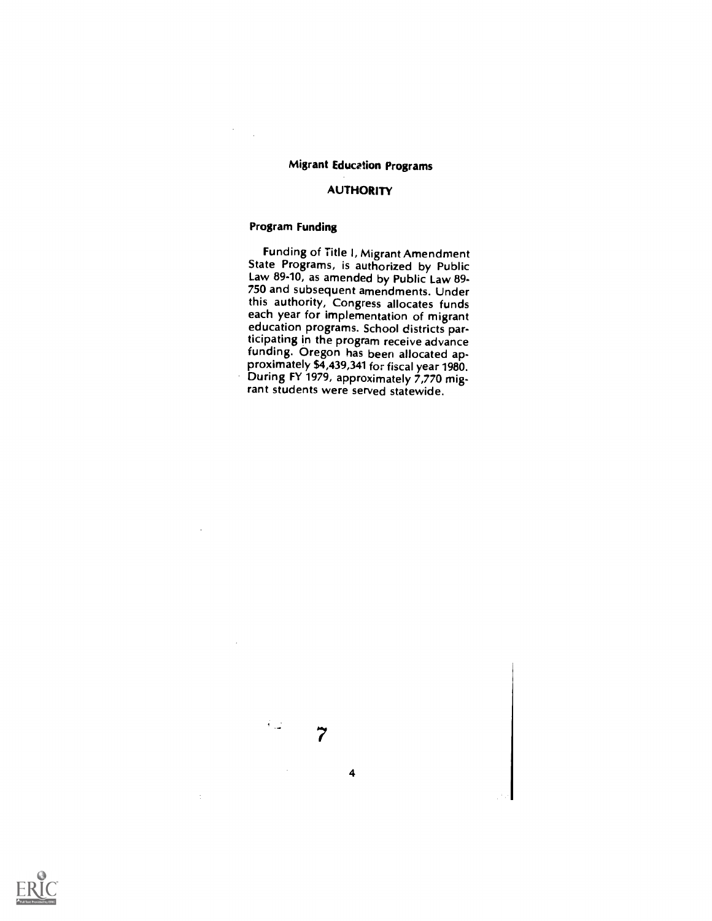# Migrant Education Programs

## AUTHORITY

# Program Funding

Funding of Title I, Migrant Amendment State Programs, is authorized by Public Law 89-10, as amended by Public Law 89-750 and subsequent amendments. Under this authority, Congress allocates funds each year for implementation of migrant education programs. School districts participating in the program receive advance funding. Oregon has been allocated approximately \$4,439,341 for fiscal year 1980. During FY 1979, approximately 7,770 migrant students were served statewide.

7

4

∴.

 $\ddot{\cdot}$ 

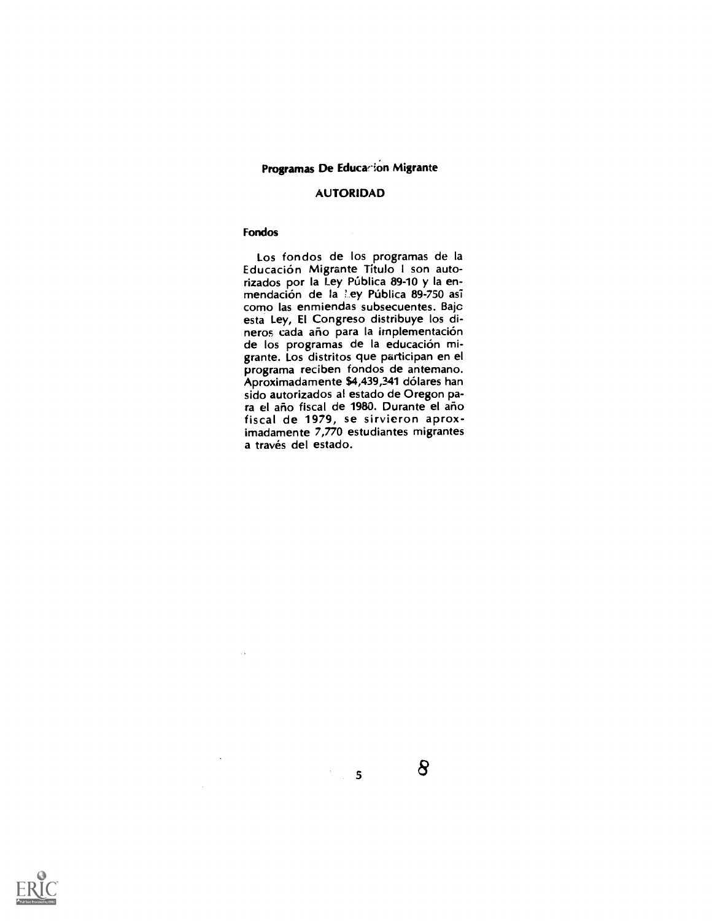# Programas De Educacion Migrante

# AUTORIDAD

# Fondos

 $\ddot{\phantom{a}}$ 

Los fondos de los programas de la Educacion Migrante Titulo 1 son autorizados por la Ley Pública 89-10 y la enmendación de la Ley Pública 89-750 así como las enmiendas subsecuentes. Bajc esta Ley, El Congreso distribuye los dineros cada año para la implementación de los programas de la educacion migrante. Los distritos que participan en el programa reciben fondos de anternano. Aproximadamente \$4,439,341 dólares han sido autorizados al estado de Oregon para el año fiscal de 1980. Durante el año fiscal de 1979, se sirvieron aproximadamente 7,770 estudiantes migrantes a través del estado.

 $\sim$  5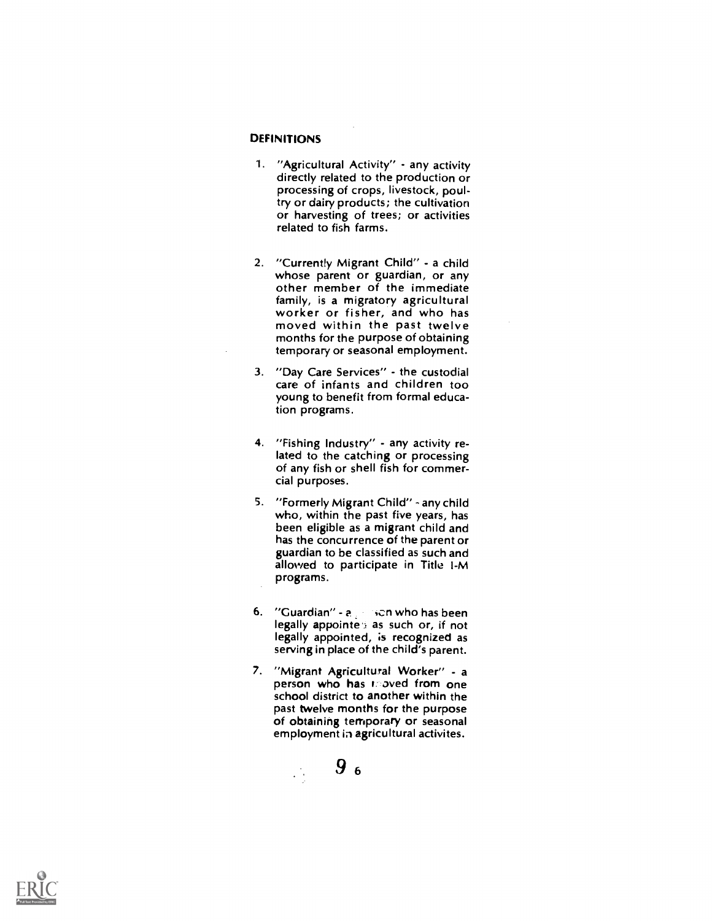#### **DEFINITIONS**

- 1. "Agricultural Activity" any activity directly related to the production or processing of crops, livestock, poultry or dairy products; the cultivation or harvesting of trees; or activities related to fish farms.
- 2. "Currently Migrant Child" a child whose parent or guardian, or any other member of the immediate family, is a migratory agricultural worker or fisher, and who has moved within the past twelve months for the purpose of obtaining temporary or seasonal employment.
- 3. "Day Care Services" the custodial care of infants and children too young to benefit from formal education programs.
- 4. "Fishing Industry" any activity related to the catching or processing of any fish or shell fish for commercial purposes.
- 5. "Formerly Migrant Child" any child who, within the past five years, has been eligible as a migrant child and has the concurrence of the parent or guardian to be classified as such and allowed to participate in Title I-M programs.
- 6. "Guardian"  $a_1$  , son who has been legally appointe's as such or, if not legally appointed, is recognized as serving in place of the child's parent.
- 7. "Migrant Agricultural Worker" a person who has noved from one school district to another within the past twelve months for the purpose of obtaining temporary or seasonal employment in agricultural activites.



 $\mathcal{L}^{(1)}$ 

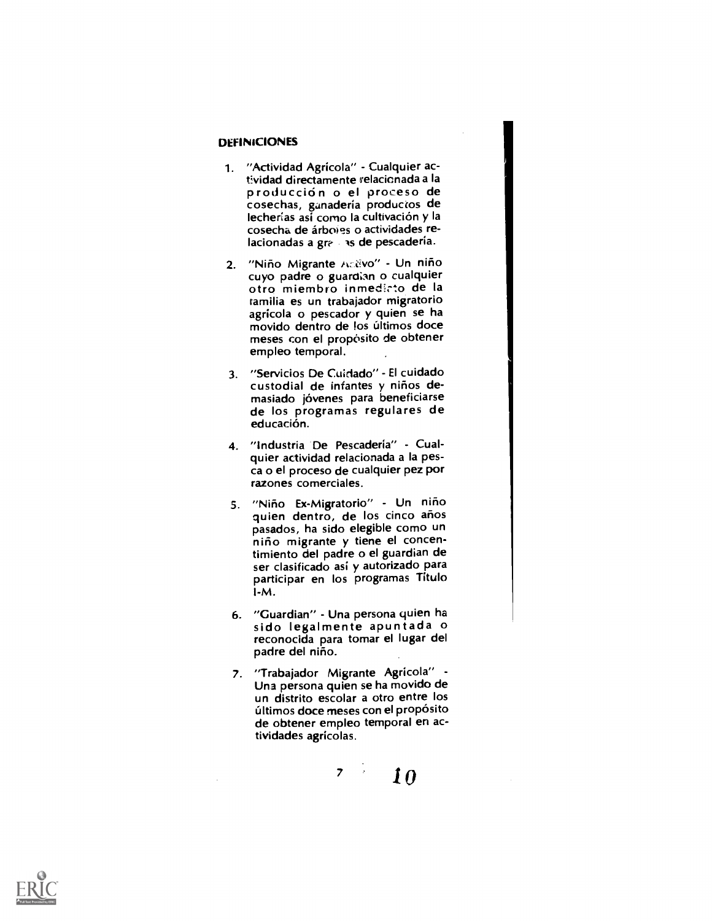## DEFINICIONES

- 1. "Actividad Agricola" Cualquier actividad directamente relacionada a la producción o el proceso de cosechas, ganadería productos de lecherías así como la cultivación y la cosecha de árboles o actividades relacionadas a gr $\epsilon$  as de pescadería.
- 2. "Niño Migrante Activo" Un niño<br>cuyo padre o guardian o cualquier otro miembro inmedicto de la ramilia es un trabajador migratorio agricola o pescador y quien se ha movido dentro de los últimos doce meses con el propósito de obtener empleo temporal.
- 3. "Servicios De Cuidado" El cuidado custodial de infantes y niños demasiado jóvenes para beneficiarse<br>de los programas regulares de educación.
- 4. "Industria De Pescaderia" Cualquier actividad relacionada a la pesca o el proceso de cualquier pez por razones comerciales.
- 5. "Niño Ex-Migratorio" Un niño quien dentro, de los cinco años<br>pasados, ha sido elegible como un niño migrante y tiene el concentimiento del padre o el guardian de ser clasificado asi y autorizado para participar en los programas Titulo I-M.
- 6. "Guardian" Una persona quien ha sido legalmente apuntada o reconocida para tomar el lugar del padre del niño.
- 7. "Trabajador Migrante Agricola" Una persona quien se ha movido de un distrito escolar a otro entre los últimos doce meses con el propósito de obtener empleo temporal en actividades agricolas.

 $7 \quad 10$ 

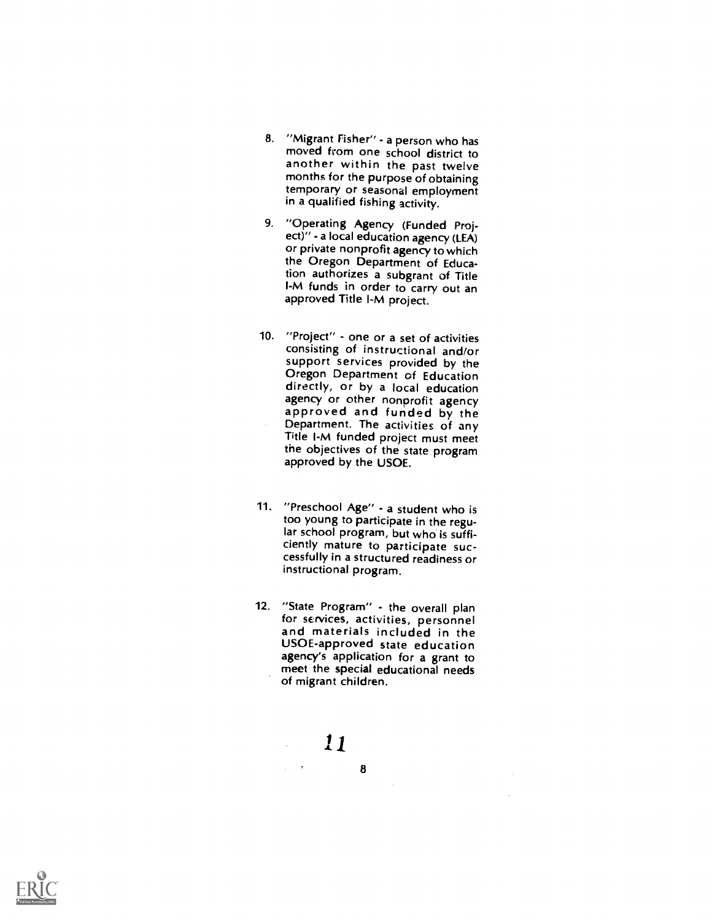- 8. "Migrant Fisher" a person who has moved from one school district to<br>another within the past twelve months for the purpose of obtaining temporary or seasonal employment in a qualified fishing activity.
- 9. "Operating Agency (Funded Project)" - a local education agency (LEA) or private nonprofit agency to which the Oregon Department of Education authorizes a subgrant of Title l-M funds in order to carry out an approved Title l-M project.
- 10. "Project" one or a set of activities consisting of instructional and/or Oregon Department of Education<br>directly, or by a local education<br>agency or other nonprofit agency approved and funded by the<br>Department. The activities of any Title I-M funded project must meet the objectives of the state program approved by the USOE.
- 11. "Preschool Age" a student who is too young to participate in the regular school program, but who is suffi- ciently mature to participate successfully in a structured readiness or instructional program.
- 12. "State Program" the overall plan for services, activities, personnel and materials included in the USOE-approved state education agency's application for a grant to meet the special educational needs of migrant children.



 $\mathcal{L}^{\text{max}}(\mathbf{r})$  , where  $\mathcal{L}^{\text{max}}(\mathbf{r})$ 

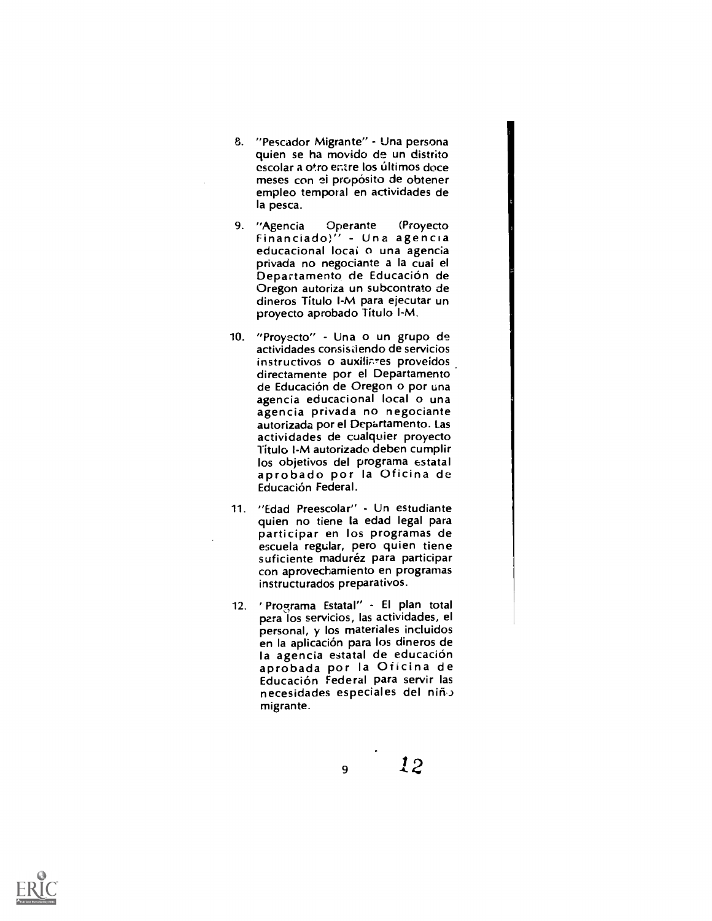- 8. "Pescador Migrante" Una persona quien se ha movido de un distrito escolar a otro entre los últimos doce meses con el propósito de obtener empleo temporal en actividades de la pesca.
- 9. "Agencia Operante (Proyecto Financiado)" Una agencia educacional local o una agencia privada no negociante a la cual el<br>Departamento de Educación de Oregon autoriza un subcontrato de dineros Titulo l-M para ejecutar un proyecto aprobado Titulo l-M.
- 10. "Proyecto" Una o un grupo de actividades consistiendo de servicios instructivos o auxiliares proveídos directamente por el Departamento de Educacion de Oregon o por una agencia educacional local o una agencia privada no negociante autorizada por el Departamento. Las actividades de cualquier proyecto Título I-M autorizado deben cumplir<br>los objetivos del programa estatal aprobado por la Oficina de Educación Federal.
- 11. "Edad Preescolar" Un estudiante quien no tiene la edad legal para participar en los programas de escuela regular, pero quien tiene suficiente maduréz para participar con aprovechamiento en programas instructurados preparativos.
- 12. Programa Estatal" El plan total para los servicios, las actividades, el personal, y los materiales incluidos en la aplicación para los dineros de la agencia estatal de educación<br>aprobada por la Oficina de Educacion Federal para servir las necesidades especiales del niño migrante.

9

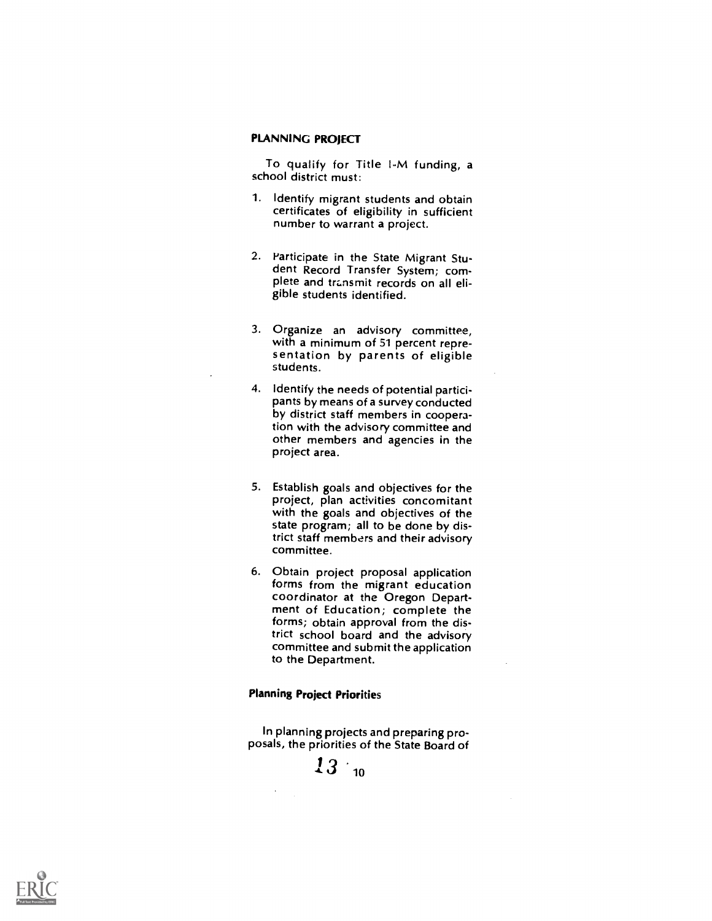# PLANNING PROJECT

To qualify for Title l-M funding, a school district must:

- 1. Identify migrant students and obtain certificates of eligibility in sufficient number to warrant a project.
- 2. Participate in the State Migrant Student Record Transfer System; complete and transmit records on all eligible students identified.
- 3. Organize an advisory committee, sentation by parents of eligible students.
- 4. Identify the needs of potential participants by means of a survey conducted by district staff members in cooperation with the advisory committee and other members and agencies in the project area.
- 5. Establish goals and objectives for the project, plan activities concomitant with the goals and objectives of the state program; all to be done by district staff members and their advisory committee.
- 6. Obtain project proposal application forms from the migrant education<br>coordinator at the Oregon Department of Education; complete the forms; obtain approval from the district school board and the advisory committee and submit the application to the Department.

#### Planning Project Priorities

In planning projects and preparing proposals, the priorities of the State Board of



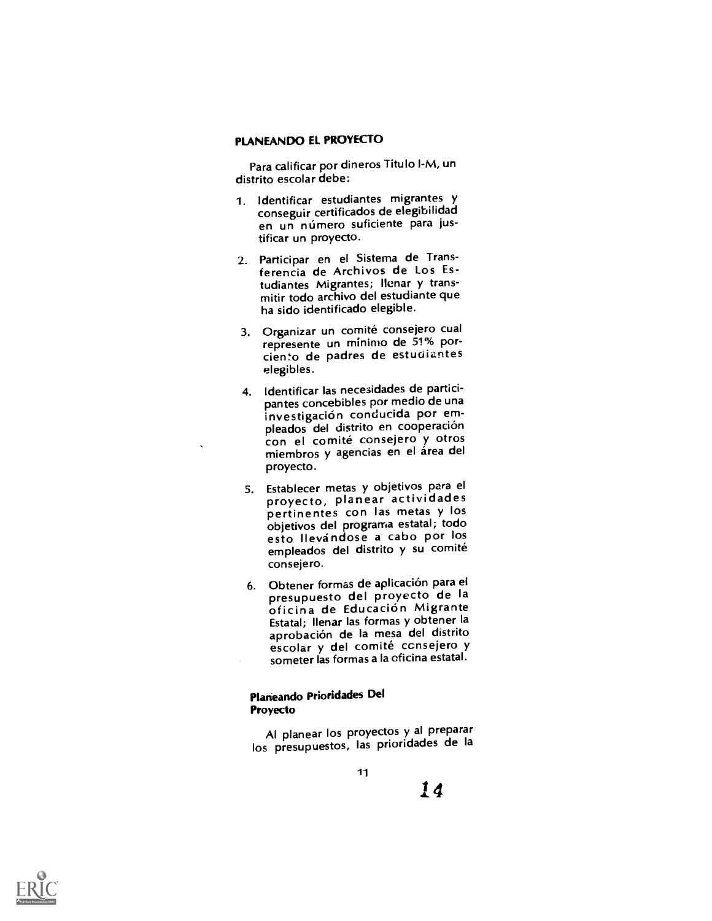## PLANEANDO EL PROYECTO

Para calificar por dineros Titulo I-M, un distrito escolar debe:

- 1. identificar estudiantes migrantes y conseguir certificados de elegibilidad en un número suficiente para justificar un proyecto.
- 2. Participar en el Sistema de Transferencia de Archivos de Los Estudiantes Migrantes; Ilenar y transmitir todo archivo del estudiante que ha sido identificado elegible.
- 3. Organizar un comité consejero cual represente un mínimo de 51% porcien'o de padres de estuoizntes elegibles.
- 4. Identificar las necesidades de participantes concebibles por medio de una investigación conducida por empleados del distrito en cooperación con el comité consejero y otros miembros y agencias en el área del proyecto.
- 5. Establecer metas y objetivos para el proyecto, planear actividades pertinentes con las metas y los objetivos del programa estatal; todo esto Ilevandose a cabo por los empleados del distrito y su comité consejero.
- 6. Obtener formas de aplicacion para el presupuesto del proyecto de Ia oficina de Educación Migrante Estatal; Ilenar las formas y obtener Ia aprobación de la mesa del distrito escolar y del comité consejero y someter las formas a la oficina estatal.

# Plarieando Prioridades Del Proyecto

Al planear los proyectos y al preparar los presupuestos, las prioridades de Ia

1 d

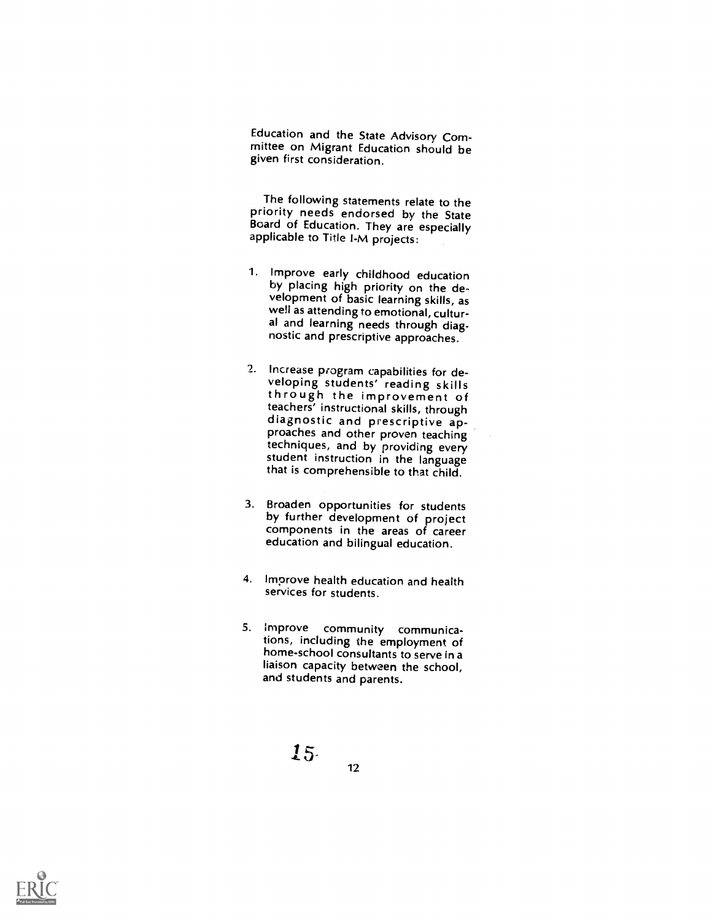Education and the State Advisory Committee on Migrant Education should be given first consideration.

The following statements relate to the priority needs endorsed by the State Board of Education. They are especially applicable to Title I-M projects:

- 1. Improve early childhood education by placing high priority on the development of basic learning skills, as well as attending to emotional, cultural and learning needs through diag- nostic and prescriptive approaches.
- Increase program capabilities for de- veloping students' reading skills through the improvement of<br>teachers' instructional skills, through diagnostic and prescriptive ap-<br>proaches and other proven teaching<br>techniques, and by providing every student instruction in the language that is comprehensible to that child.
- 3. Broaden opportunities for students by further development of project components in the areas of career education and bilingual education.
- 4. Improve health education and health services for students.
- 5. Improve community communications, including the employment of home-school consultants to serve in a liaison capacity between the school, and students and parents.



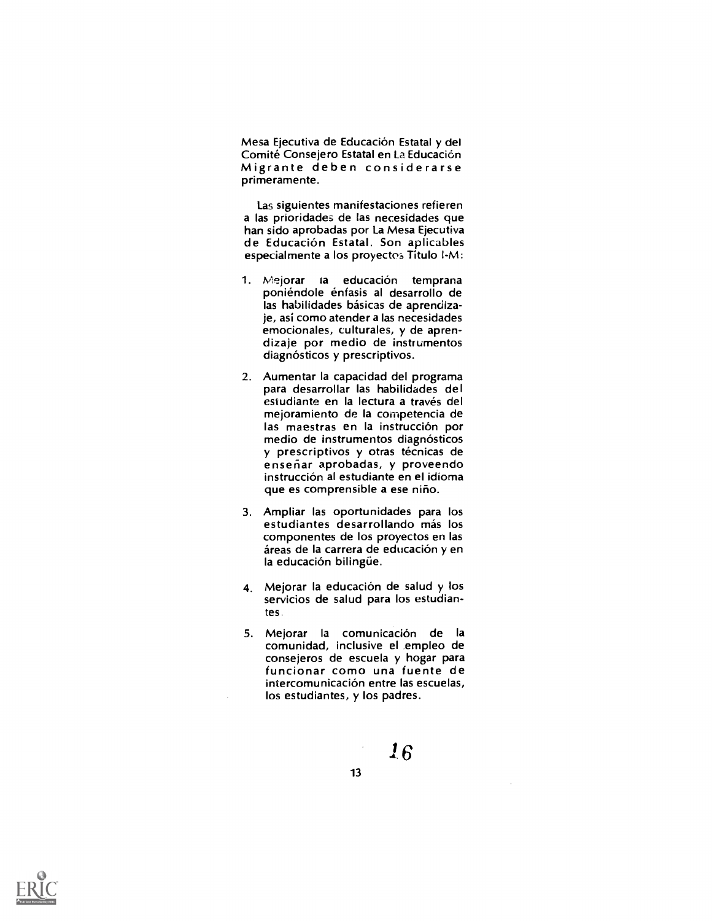Mesa Ejecutiva de Educacion Estatal y del Comite Consejero Estatal en La Educacion Migrante deben considerarse primeramente.

Las siguientes manifestaciones refieren a las prioridades de las necesidades que han sido aprobadas por La Mesa Ejecutiva de Educacion Estatal. Son aplicables especialmente a los proyectos Titulo I-M:

- 1. Mejorar la educación temprana poniéndole énfasis al desarrollo de las habilidades básicas de aprendizaje, asi como atender a las necesidades emocionales, culturales, y de aprendizaje por medio de instrumentos diagnósticos y prescriptivos.
- 2. Aumentar la capacidad del programa para desarrollar las habilidades del estudiante en la lectura a través del mejoramiento de la competencia de las maestras en la instrucción por medio de instrumentos diagnósticos y prescriptivos y otras técnicas de enseriar aprobadas, y proveendo instruccion al estudiante en el idioma que es comprensible a ese nino.
- 3. Ampliar las oportunidades para los estudiantes desarrollando más los componentes de los proyectos en las áreas de la carrera de educación y en la educación bilingüe.
- 4. Mejorar la educacion de salud y los servicios de salud para los estudian tes.
- 5. Mejorar la comunicación de la comunidad, inclusive el .empleo de consejeros de escuela y hogar para funcionar como una fuente de intercomunicacion entre las escuelas, los estudiantes, y los padres.

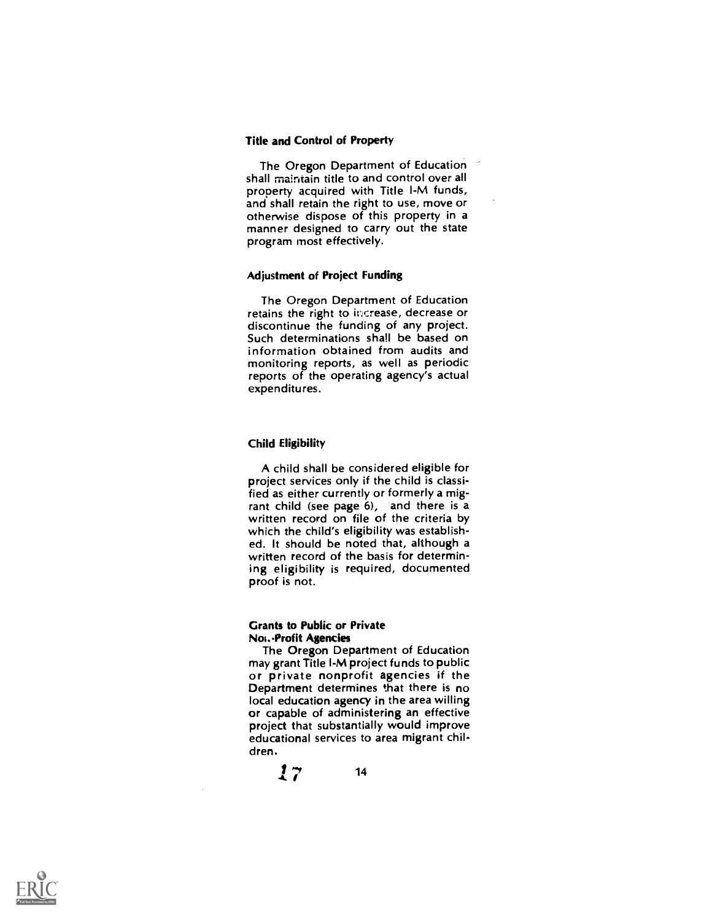#### Title and Control of Property

The Oregon Department of Education shall maintain title to and control over all property acquired with Title I-M funds,<br>and shall retain the right to use, move or otherwise dispose of this property in a manner designed to carry out the state program most effectively.

### Adjustment of Project Funding

The Oregon Department of Education retains the right to increase, decrease or discontinue the funding of any project. Such determinations shall be based on information obtained from audits and monitoring reports, as well as periodic reports of the operating agency's actual expenditures.

## Child Eligibility

A child shall be considered eligible for project services only if the child is classified as either currently or formerly a migrant child (see page 6), and there is a written record on file of the criteria by which the child's eligibility was established. It should be noted that, although a written record of the basis for determining eligibility is required, documented proof is not.

### Grants to Public or Private Noi..Profit Agencies

The Oregon Department of Education may grant Title I-M project funds to public or private nonprofit agencies if the Department determines that there is no local education agency in the area willing or capable of administering an effective project that substantially would improve educational services to area migrant children.

 $17^{14}$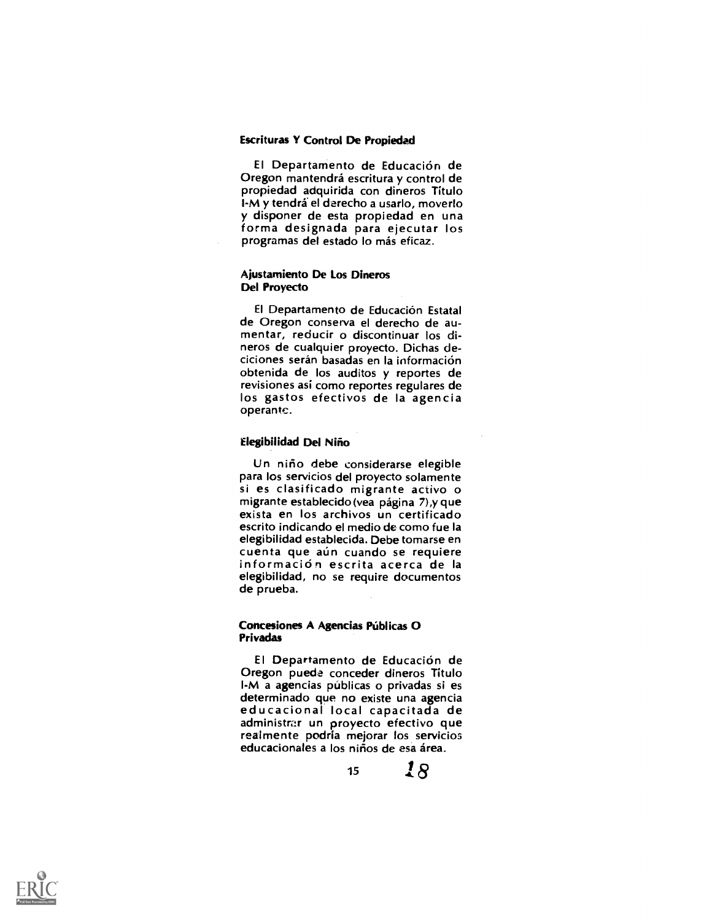### Escrituras Y Control De Propiedad

El Departamento de Educacion de Oregon mantendra escritura y control de propiedad adquirida con dineros Título<br>I-M y tendrá el derecho a usarlo, moverlo y disponer de esta propiedad en una forma designada para ejecutar los programas del estado lo más eficaz.

### Ajustamiento De Los Dineros Del Proyecto

El Departamento de Educación Estatal de Oregon conserva el derecho de au- mentar, reducir o discontinuar los dineros de cualquier proyecto. Dichas deciciones serán basadas en la información obtenida de los auditos y reportes de revisiones asi como reportes regulares de los gastos efectivos de la agencia operante.

#### Elegibilidad Del Nino

Un niño debe considerarse elegible<br>para los servicios del proyecto solamente si es clasificado migrante activo o<br>migrante establecido (vea página 7),y que exista en los archivos un certificado escrito indicando el medio de como fue la elegibilidad establecida. Debe tomarse en<br>cuenta que aún cuando se requiere información escrita acerca de la elegibilidad, no se require documentos de prueba.

#### Concesiones A Agencias Públicas O Privadas

El Departamento de Educacion de Oregon puede conceder dineros Titulo l-M a agencias públicas o privadas si es determinado que no existe una agencia educacional local capacitada de administrar un proyecto efectivo que realmente podria mejorar los servicios educacionales a los niños de esa área.

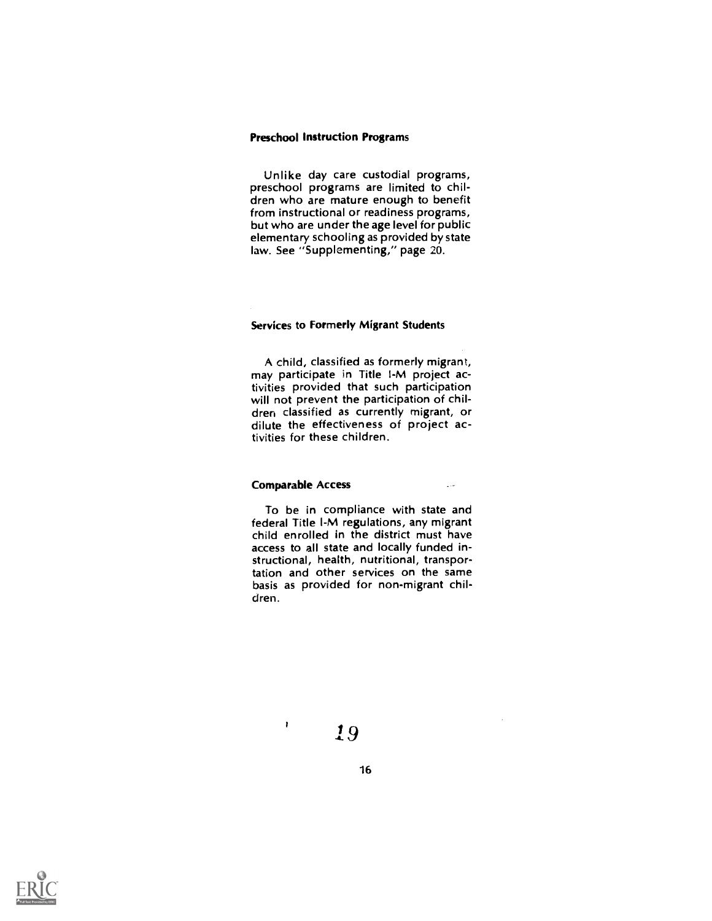#### Preschool Instruction Programs

Unlike day care custodial programs, preschool programs are limited to children who are mature enough to benefit from instructional or readiness programs, but who are under the age level for public elementary schooling as provided by state law. See "Supplementing," page 20.

## Services to Formerly Migrant Students

A child, classified as formerly migrant, may participate in Title I-M project activities provided that such participation will not prevent the participation of children classified as currently migrant, or dilute the effectiveness of project activities for these children.

## Comparable Access

 $\mathbf{I}$ 

To be in compliance with state and federal Title I-M regulations, any migrant child enrolled in the district must have access to all state and locally funded instructional, health, nutritional, transportation and other services on the same basis as provided for non-migrant children.

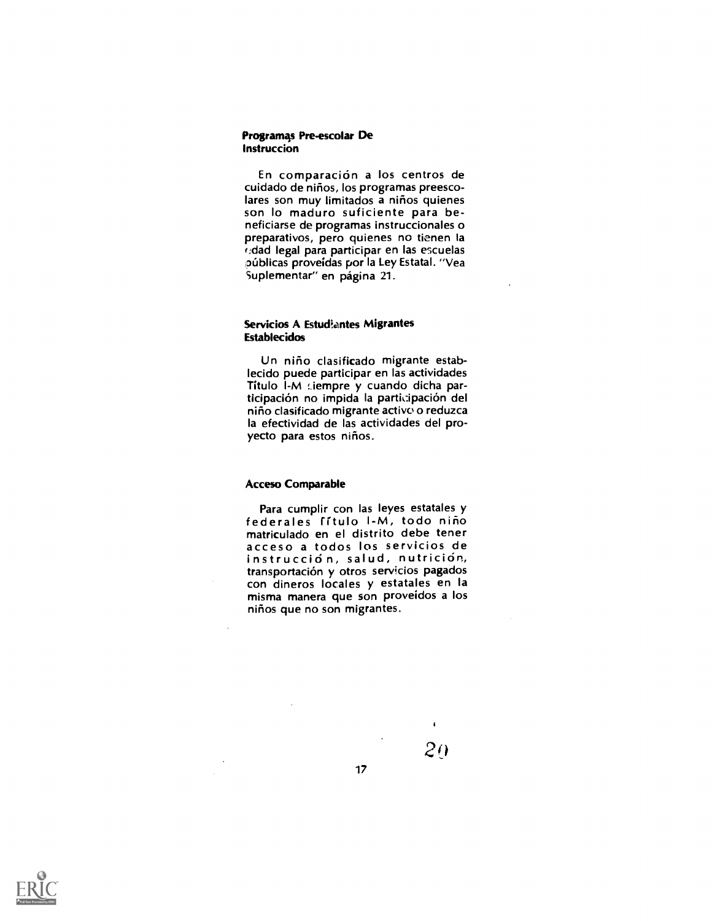#### Programas Pre-escolar De Instruccion

En comparacion a los centros de cuidado de ninos, los programas preescolares son muy limitados a niños quienes son lo maduro suficiente para beneficiarse de programas instruccionales o preparativos, pero quienes no tienen la (:clad legal para participar en las escuelas públicas proveídas por la Ley Estatal. "Vea Suplementar" en página 21.

## Servicios A Estudiantes Migrantes **Establecidos**

Un niño clasificado migrante establecido puede participar en las actividades Titulo I-M :iempre y cuando dicha participacion no impida la participacion del niño clasificado migrante activo o reduzca la efectividad de las actividades del proyecto para estos niños.

### Acceso Comparable

Para cumplir con las leyes estatales y federales fitulo I-M, todo nino matriculado en el distrito debe tener instrucción, salud, nutrición,<br>transportación y otros servicios pagados con dineros locales y estatales en la misma manera que son proveidos a los niños que no son migrantes.

17

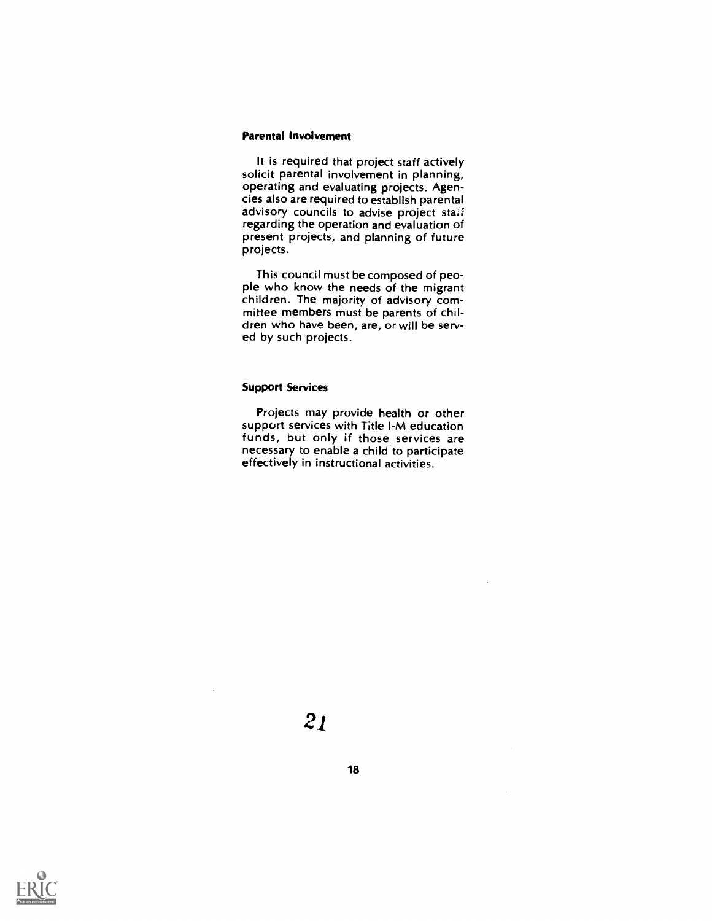### Parental Involvement

It is required that project staff actively solicit parental involvement in planning, operating and evaluating projects. Agencies also are required to establish parental advisory councils to advise project staff regarding the operation and evaluation of present projects, and planning of future projects.

This council must be composed of people who know the needs of the migrant children. The majority of advisory committee members must be parents of children who have been, are, or will be served by such projects.

# Support Services

Projects may provide health or other support services with Title I-M education funds, but only if those services are necessary to enable a child to participate effectively in instructional activities.



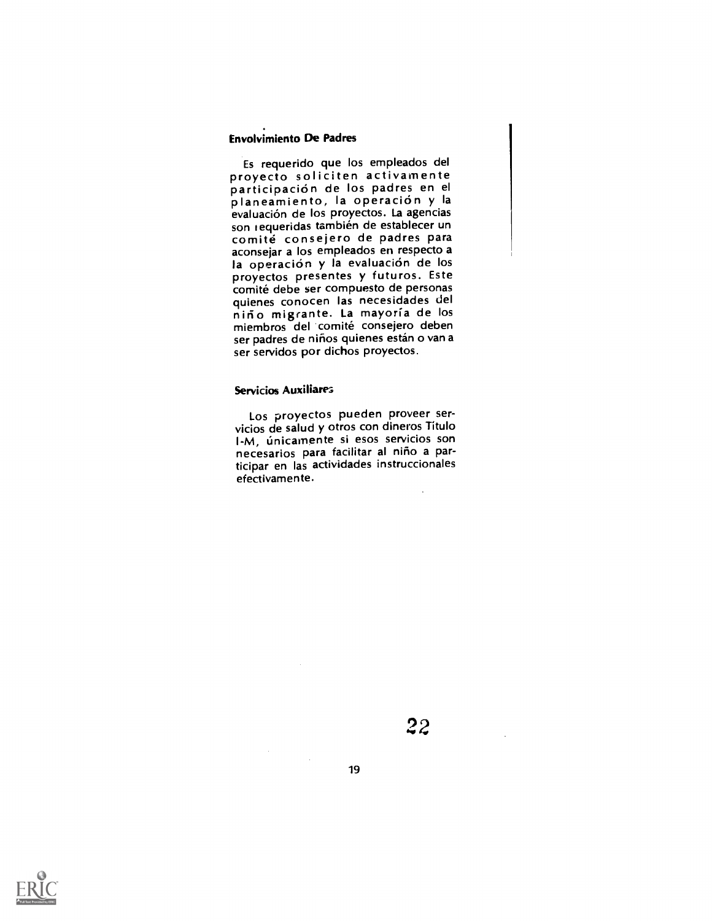# Envolvimiento De Padres

Es requerido que los empleados del proyecto soliciten activamente planeamiento, la operación y la evaluación de los proyectos. La agencias<br>son requeridas también de establecer un comité consejero de padres para aconsejar a los empleados en respecto a proyectos presentes y futuros. Este<br>comité debe ser compuesto de personas quienes conocen las necesidades del<br>niño migrante. La mayoría de los miembros del comité consejero deben ser padres de niños quienes están o van a ser servidos por dichos proyectos.

## Servicios Auxiliarez,

Los proyectos pueden proveer servicios de salud y otros con dineros Titulo l-M, Linicamente si esos servicios son necesarios para facilitar al niño a participar en las actividades instruccionales efectivamente.

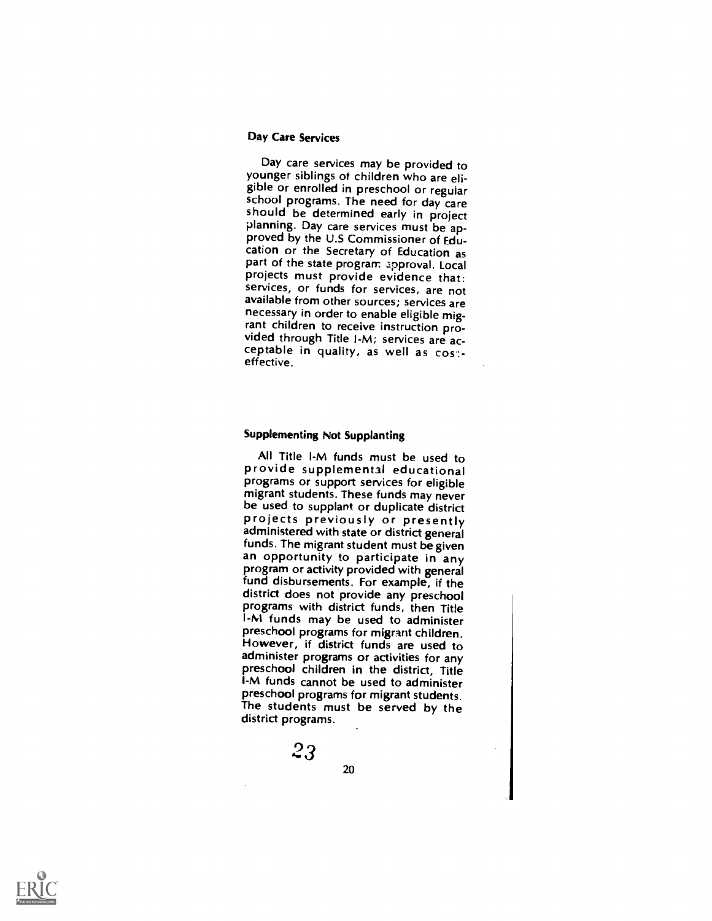#### Day Care Services

Day care services may be provided to younger siblings of children who are eligible or enrolled in preschool or regular school programs. The need for day care should be determined early in project planning. Day care services must be ap-<br>proved by the U.S Commissioner of Education or the Secretary of Education as part of the state program approval. Local projects must provide evidence that: services, or funds for services, are not available from other sources; services are necessary in order to enable eligible mig-<br>rant children to receive instruction provided through Title I-M; services are acceptable in quality, as well as cos:-<br>effective.

# Supplementing Not Supplanting

All Title I-M funds must be used to<br>provide supplemental educational programs or support services for eligible migrant students. These funds may never<br>be used to supplant or duplicate district projects previously or presently administered with state or district general<br>funds. The migrant student must be given an opportunity to participate in any program or activity provided with general fund disbursements. For example, if the district does not provide any preschool programs with district funds, then Title l-M funds may be used to administer preschool programs for migrant children. However, if district funds are used to administer programs or activities for any preschool children in the district, Title l-M funds cannot be used to administer preschool programs for migrant students. The students must be served by the district programs.

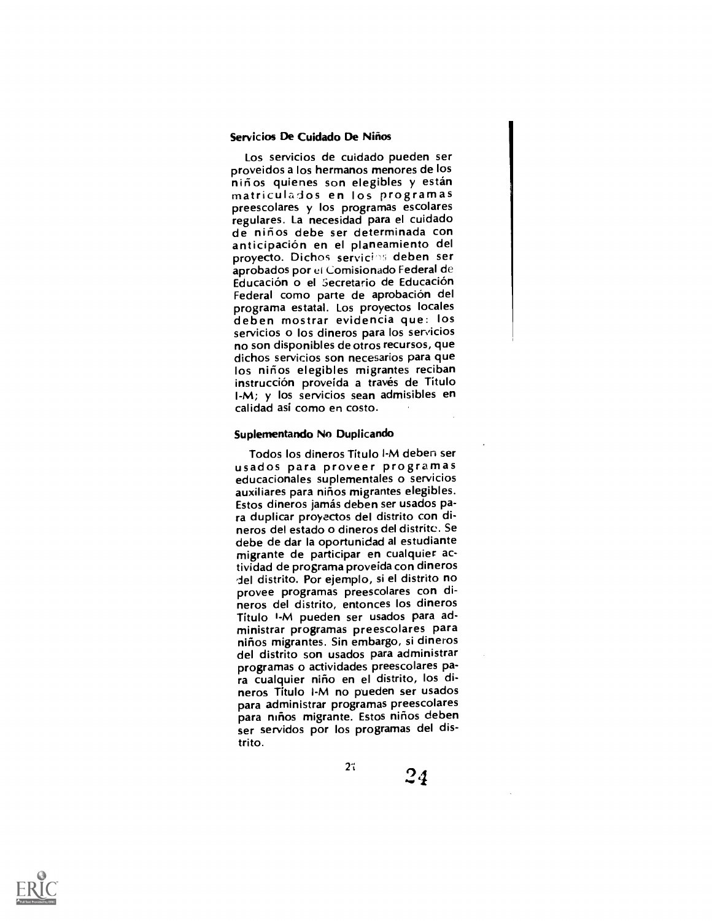#### Servicios De Cuidado De Niños

Los servicios de cuidado pueden ser proveidos a los hermanos menores de los<br>niños quienes son elegibles y están matriculados en los programas preescolares y los programas escolares regulares. La necesidad para el cuidado de ninos debe ser determinada con anticipacion en el planeamiento del proyecto. Dichos servicies deben ser aprobados por el Comisionado Federal de Educación o el Secretario de Educación Federal como parte de aprobación del<br>programa estatal. Los proyectos locales deben mostrar evidencia que: los servicios o los dineros para los servicios no son disponibles de otros recursos, que dichos servicios son necesarios para que los niños elegibles migrantes reciban instrucción proveida a través de Título I-M; y los servicios sean admisibles en calidad asi como en costo.

#### Suplementando No Duplicando

Todos los dineros Titulo I-M deben ser usados para proveer programas educacionales suplementales o servicios auxiliares para ninos migrantes elegibles. Estos dineros jamas deben ser usados para duplicar proyectos del distrito con dineros del estado o dineros del distrito. Se debe de dar la oportunidad al estudiante migrante de participar en cualquier actividad de programa proveida con dineros del distrito. Por ejemplo, si el distrito no provee programas preescolares con dineros del distrito, entonces los dineros Titulo I-M pueden ser usados para administrar programas preescolares para niños migrantes. Sin embargo, si dineros del distrito son usados para administrar programas o actividades preescolares para cualquier niño en el distrito, los dineros Titulo I-M no pueden ser usados para administrar programas preescolares para niños migrante. Estos niños deben ser servidos por los programas del distrito.

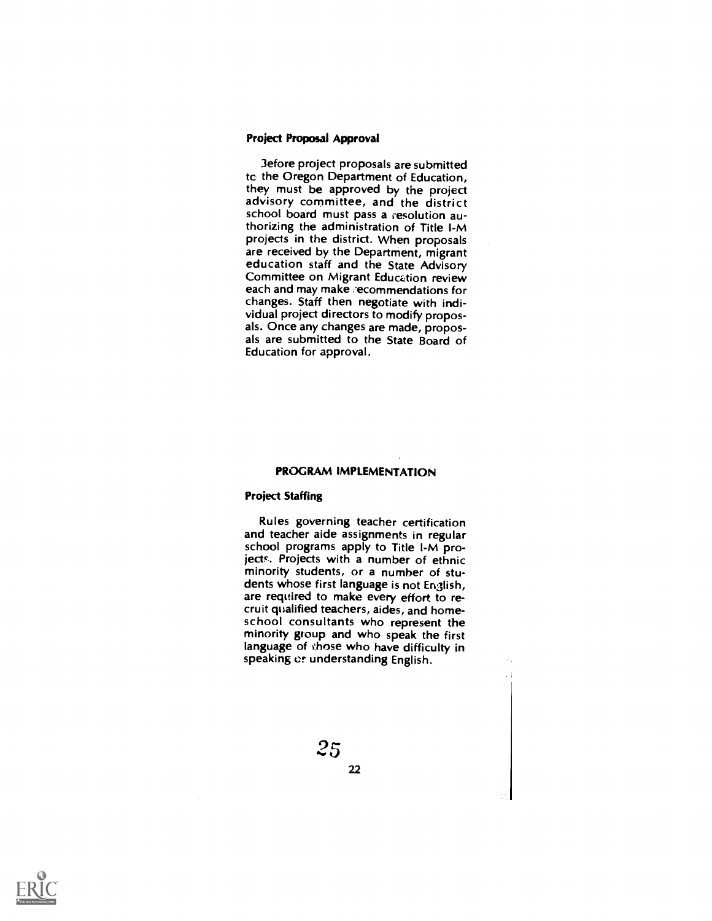#### Project Proposal Approval

3efore project proposals are submitted tc the Oregon Department of Education,<br>they must be approved by the project advisory committee, and the district school board must pass a resolution authorizing the administration of Title I-M projects in the district. When proposals are received by the Department, migrant education staff and the State Advisory Committee on Migrant Education review each and may make recommendations for changes. Staff then negotiate with individual project directors to modify proposals. Once any changes are made, proposals are submitted to the State Board of Education for approval,

## PROGRAM IMPLEMENTATION

#### Project Staffing

Rules governing teacher certification and teacher aide assignments in regular school programs apply to Title I-M projects. Projects with a number of ethnic minority students, or a number of students whose first language is not English, are required to make every effort to recruit qualified teachers, aides, and homeschool consultants who represent the minority group and who speak the first language of those who have difficulty in speaking or understanding English.

Ψi

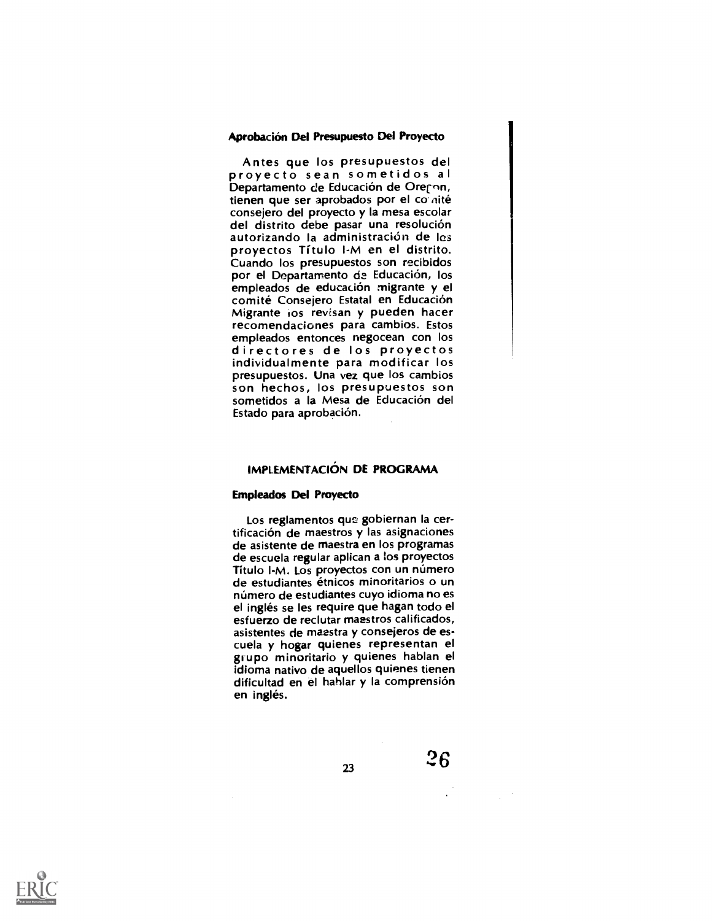#### Aprobacion Del Presupuesto Del Proyecto

Antes que los presupuestos del<br>proyecto sean sometidos al<br>Departamento de Educación de Orechn, tienen que ser aprobados por el comité consejero del proyecto y Ia mesa escolar autorizando la administración de les proyectos Titulo I-M en el distrito. Cuando los presupuestos son recibidos por el Departamento de Educación, los empleados de educación migrante y el<br>comité Consejero Estatal en Educación Migrante ios revisan y pueden hacer recomendaciones para cambios. Estos empleados entonces negocean con los directores de los proyectos individualmente para modificar los son hechos, los presupuestos son sometidos a la Mesa de Educación del Estado para aprobación.

# IMPLEMENTACION DE PROGRAMA

#### Empleados Del Proyecto

Los reglamentos que gobiernan Ia certificacion de maestros y las asignaciones de asistente de maestra en los programas de escuela regular aplican a los proyectos Título I-M. Los proyectos con un número de estudiantes étnicos minoritarios o un número de estudiantes cuyo idioma no es el ingles se les require que hagan todo el esfuerzo de reclutar maestros calificados, asistentes de maestra y consejeros de es-<br>cuela y hogar quienes representan el grupo minoritario y quienes hablan el idioma nativo de aquellos quienes tienen dificultad en el hahlar y la comprensión en inglés.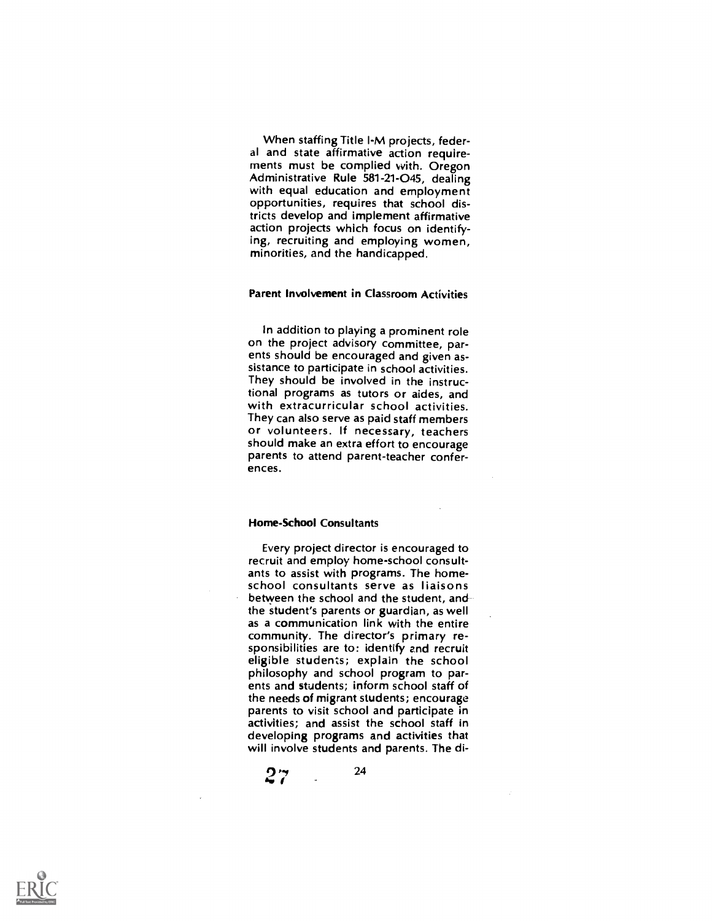When staffing Title I-M projects, feder-<br>al and state affirmative action requirements must be complied with. Oregon Administrative Rule 581-21-045, dealing with equal education and employment opportunities, requires that school districts develop and implement affirmative action projects which focus on identifying, recruiting and employing women, minorities, and the handicapped.

#### Parent Involvement in Classroom Activities

In addition to playing a prominent role on the project advisory committee, parents should be encouraged and given assistance to participate in school activities. They should be involved in the instructional programs as tutors or aides, and with extracurricular school activities. They can also serve as paid staff members or volunteers. If necessary, teachers should make an extra effort to encourage parents to attend parent-teacher conferences.

#### Home-School Consultants

Every project director is encouraged to recruit and employ home-school consultants to assist with programs. The home- school consultants serve as liaisons between the school and the student, and the student's parents or guardian, as well as a communication link with the entire community. The director's primary responsibilities are to: identify and recruit eligible students; explain the school philosophy and school program to parents and students; inform school staff of the needs of migrant students; encourage parents to visit school and participate in activities; and assist the school staff in developing programs and activities that will involve students and parents. The di-

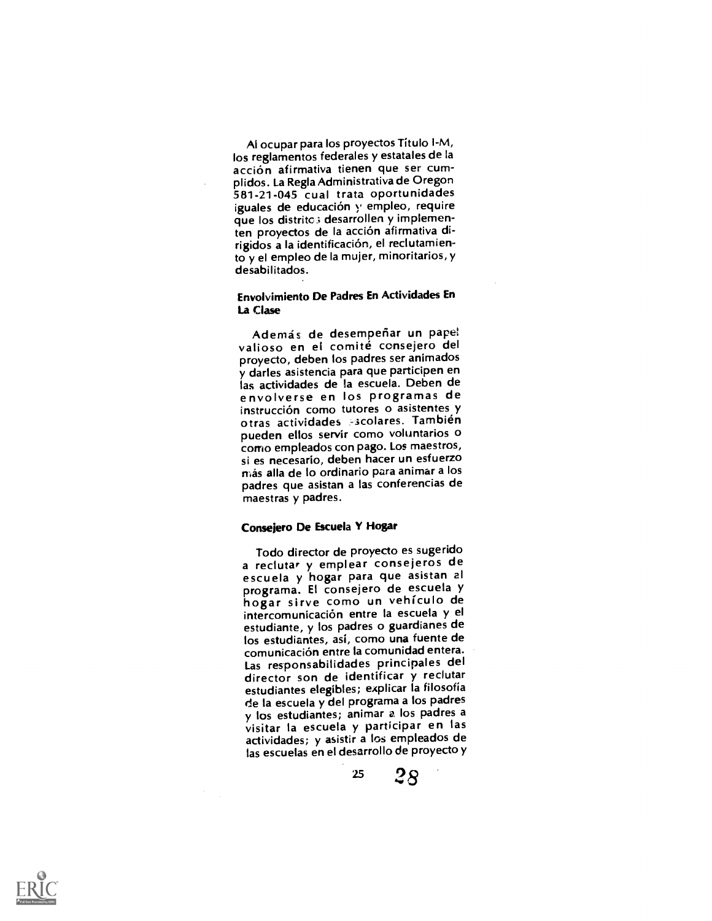Al ocupar para los proyectos Titulo I-M, los reglamentos federales y estatales de la acción afirmativa tienen que ser cum-<br>plidos. La Regla Administrativa de Oregon 581-21-045 cual trata oportunidades iguales de educación y empleo, require que los distritc; desarrollen y implementen proyectos de la acción afirmativa dirigidos a la identificación, el reclutamiento y el empleo de Ia mujer, minoritarios, y desabilitados.

# Envolvimiento De Padres En Actividades En La Clase

Ademas de desemperiar un papel valioso en el comite consejero del proyecto, deben los padres ser animados y darles asistencia para que participen en las actividades de la escuela. Deben de envolverse en los programas de instrucción como tutores o asistentes y otras actividades -scolares. También pueden ellos servir como voluntarios o corrio empleados con pago. Los maestros, si es necesario, deben hacer un esfuerzo más alla de lo ordinario para animar a los padres que asistan a las conferencias de maestras y padres.

### Consejero De Escuela Y Hogar

Todo director de proyecto es sugerido a reclutar y emplear consejeros de escuela y hogar para que asistan al programa. El consejero de escuela y hogar sirve como un vehiculo de intercomunicacion entre Ia escuela y el estudiante, y los padres o guardianes de los estudiantes, asi, como una fuente de comunicacion entre la comunidad entera. Las responsabilidades principales del estudiantes elegibles; explicar la filosofia de la escuela y del programa a los padres y los estudiantes; animar a los padres a visitar Ia escuela y participar en las actividades; y asistir a los empleados de las escuelas en el desarrollo de proyecto y

 $25 \quad 28$ 

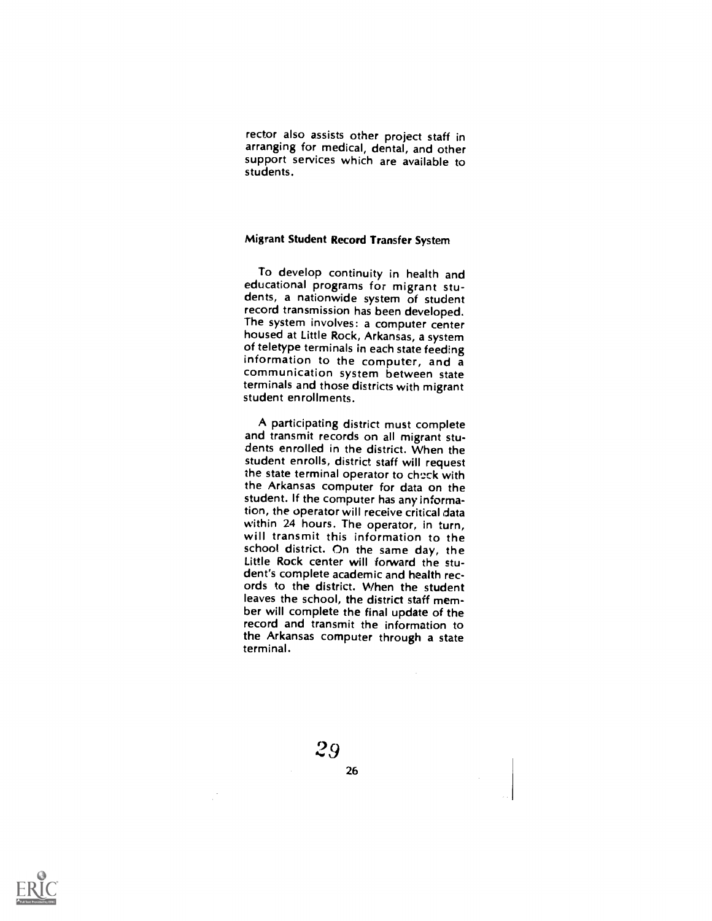rector also assists other project staff in arranging for medical, dental, and other support services which are available to students.

# Migrant Student Record Transfer System

To develop continuity in health and<br>educational programs for migrant students, a nationwide system of student record transmission has been developed. The system involves: a computer center housed at Little Rock, Arkansas, a system of teletype terminals in each state feeding<br>information to the computer, and a communication system between state terminals and those districts with migrant student enrollments.

A participating district must complete and transmit records on all migrant students enrolled in the district. When the student enrolls, district staff will request the state terminal operator to check with the Arkansas computer for data on the student. If the computer has any information, the operator will receive critical data<br>within 24 hours. The operator, in turn, will transmit this information to the school district. On the same day, the Little Rock center will forward the student's complete academic and health rec- ords to the district. When the student leaves the school, the district staff member will complete the final update of the record and transmit the information to the Arkansas computer through a state terminal.

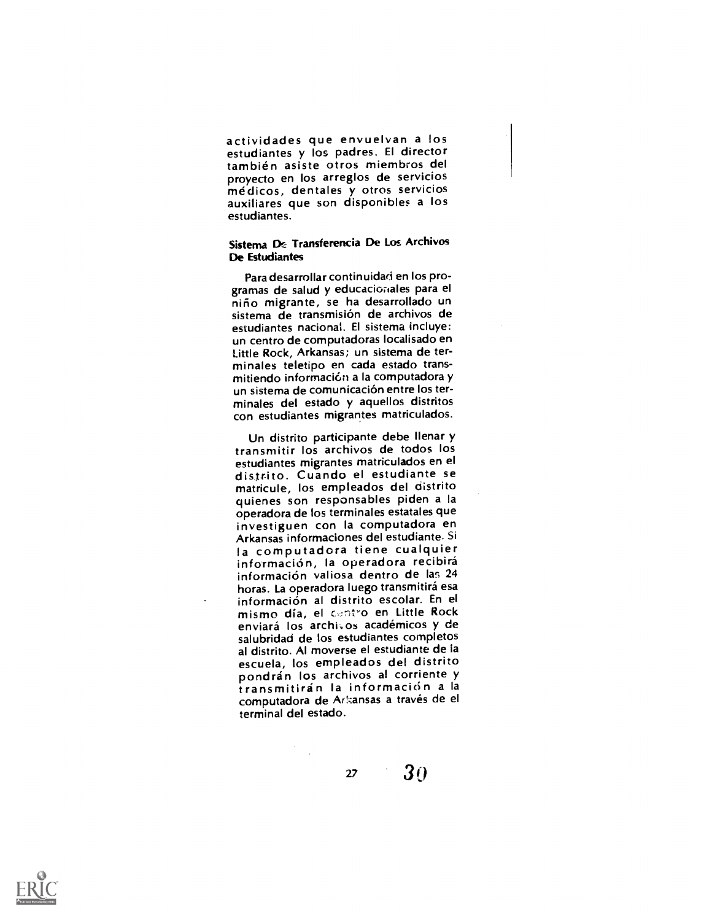actividades que envuelvan a los estudiantes y los padres. El director también asiste otros miembros del<br>proyecto en los arreglos de servicios médicos, dentales y otros servicios<br>auxiliares que son disponibles a los estudiantes.

# Sistema De Transferencia De Los Archivos De Estudiantes

Para desarrollar continuidad en los pro-<br>gramas de salud y educacionales para el niño migrante, se ha desarrollado un sistema de transmision de archivos de estudiantes nacional. El sistema incluye: un centro de computadoras localisado en Little Rock, Arkansas; un sistema de terminales teletipo en cada estado transmitiendo información a la computadora y un sistema de comunicación entre los terminales del estado y aquellos distritos con estudiantes migrantes matriculados.

Un distrito participante debe Ilenar y transmitir los archivos de todos los<br>estudiantes migrantes matriculados en el distrito. Cuando el estudiante se matricule, los empleados del distrito quienes son responsables piden a la operadora de los terminates estatales que investiguen con la computadora en Arkansas informaciones del estudiante. Si la computadora tiene cualquier información, la operadora recibirá información valiosa dentro de las 24 horas. La operadora luego transmitirá esa informacion al distrito escolar. En el mismo día, el centro en Little Rock enviará los archivos académicos y de salubridad de los estudiantes completos al distrito. Al moverse el estudiante de la<br>escuela, los empleados del distrito pondrán los archivos al corriente y transmitirán la información a la computadora de Arkansas a través de el terminal del estado.

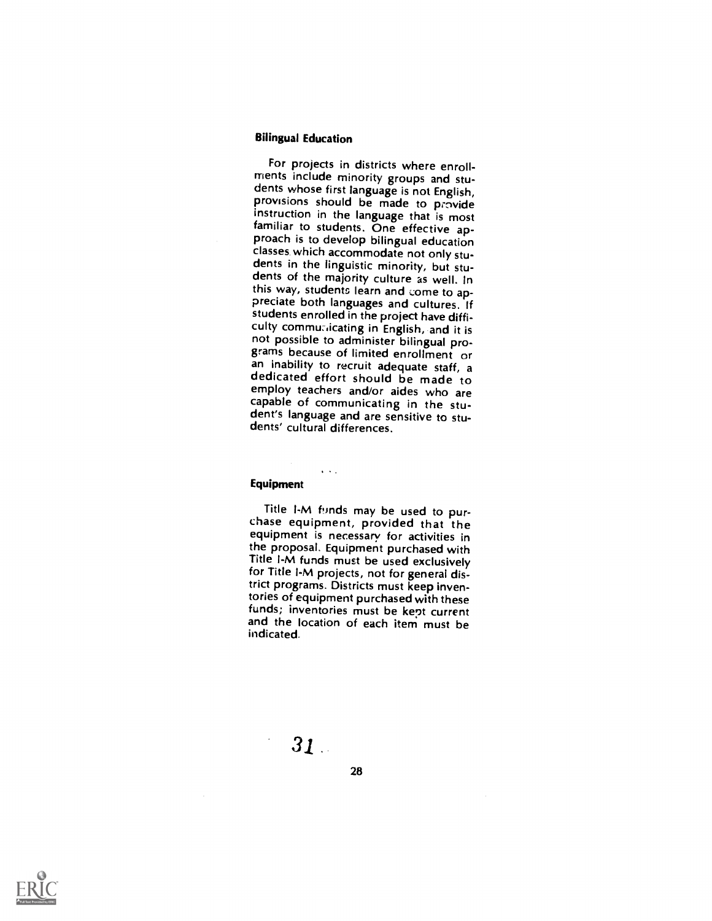# Bilingual Education

For projects in districts where enroll-<br>ments include minority groups and students whose first language is not English, provisions should be made to provide instruction in the language that is most<br>familiar to students. One effective approach is to develop bilingual education<br>classes which accommodate not only students in the linguistic minority, but stu-<br>dents of the majority culture as well. In this way, students learn and come to ap-<br>preciate both languages and cultures. If students enrolled in the project have difficulty communicating in English, and it is<br>not possible to administer bilingual programs because of limited enrollment or an inability to recruit adequate staff, a dedicated effort should be made to employ teachers and/or aides who are capable of communicating in the student's language and are sensitive to students' cultural differences.

#### Equipment

 $\sim$   $\sim$   $\sim$ 

Title I-M funds may be used to pur-<br>chase equipment, provided that the equipment is necessary for activities in the proposal. Equipment purchased with Title I-M funds must be used exclusively for Title I-M projects, not for general district programs. Districts must keep inventories of equipment purchased with these funds; inventories must be kept current and the location of each item must be indicated.

28

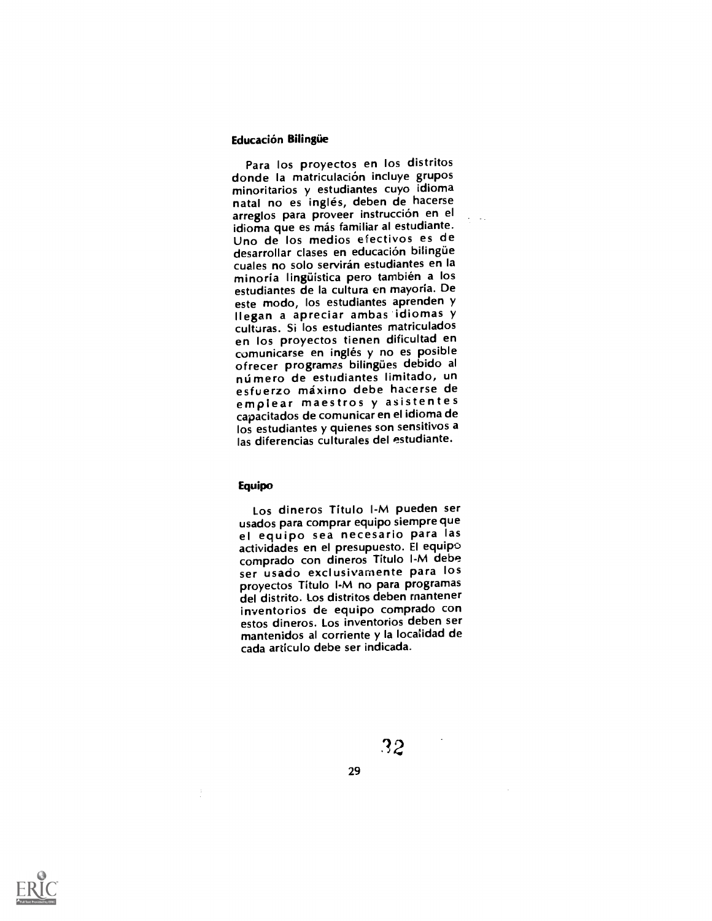#### Educación Bilingüe

Para los proyectos en los distritos<br>donde la matriculación incluye grupos minoritarios y estudiantes cuyo idioma natal no es inglés, deben de hacerse arreglos para proveer instrucción en el idioma que es más familiar al estudiante. Uno de los medios efectivos es de desarrollar clases en educación bilingüe cuales no solo serviran estudiantes en la minoria linguistica pero tambien a los estudiantes de la cultura en mayoria. De este modo, los estudiantes aprenden y Ilegan a apreciar ambas idiomas y culturas. Si los estudiantes matriculados en los proyectos tienen dificultad en comunicarse en inglés y no es posible ofrecer programas bilingues debido al número de estudiantes limitado, un esfuerzo máximo debe hacerse de emplear maestros y asistentes capacitados de comunicar en el idioma de los estudiantes y quienes son sensitivos a las diferencias culturales del estudiante.

## Equipo

Los dineros Titulo I-M pueden ser<br>usados para comprar equipo siempre que el equipo sea necesario para las actividades en el presupuesto. El equipo comprado con dineros Titulo I-M debe ser usado exclusivamente para los proyectos Titulo I-M no para programas del distrito. Los distritos deben rnantener inventorios de equipo comprado con estos dineros. Los inventorios deben ser mantenidos al corriente y la localidad de cada articulo debe ser indicada.





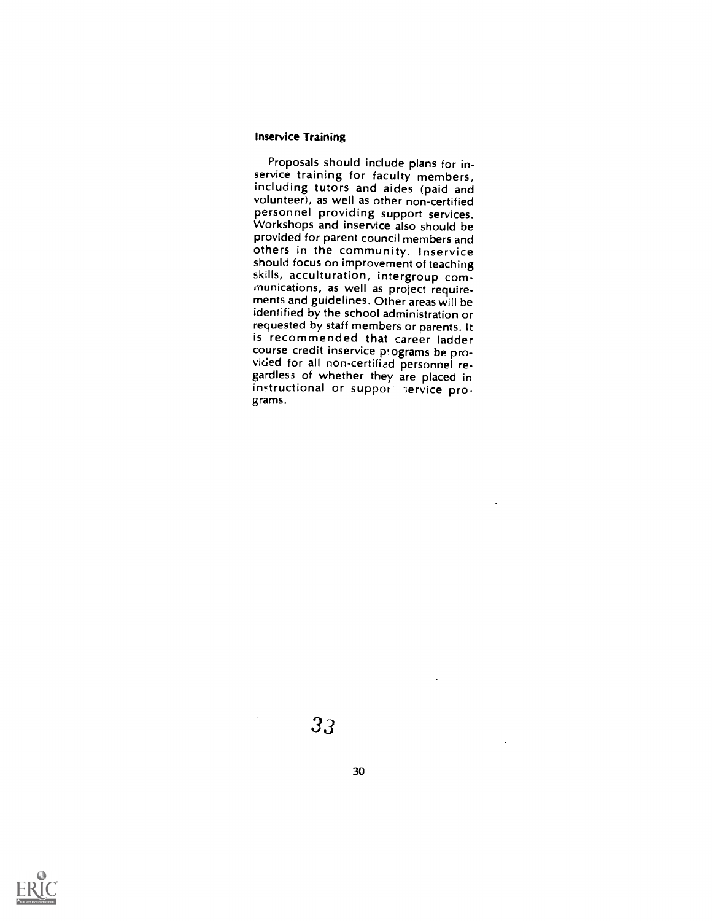#### Inservice Training

Proposals should include plans for in- service training for faculty members, including tutors and aides (paid and volunteer), as well as other non-certified personnel providing support services. Workshops and inservice also should be<br>provided for parent council members and others in the community. Inservice should focus on improvement of teaching skills, acculturation, intergroup communications, as well as project requirements and guidelines. Other areas will be identified by the school administration or requested by staff members or parents. It is recommended that career ladder<br>course credit inservice programs be provided for all non-certified personnel regardless of whether they are placed in instructional or support service programs.

# 33

 $\chi^2$  .